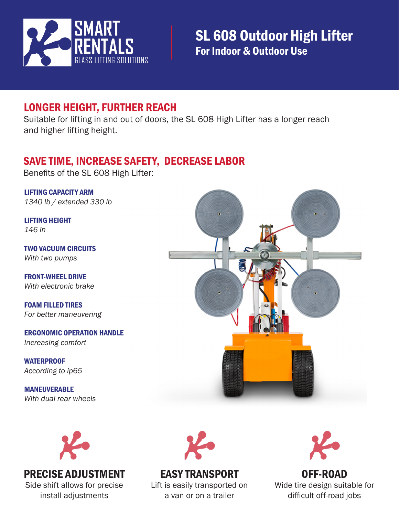

SL 608 Outdoor High Lifter For Indoor & Outdoor Use

#### LONGER HEIGHT, FURTHER REACH

Suitable for lifting in and out of doors, the SL 608 High Lifter has a longer reach and higher lifting height.

#### SAVE TIME, INCREASE SAFETY, DECREASE LABOR

Benefits of the SL 608 High Lifter:

LIFTING CAPACITY ARM *1340 lb / extended 330 lb*

LIFTING HEIGHT *146 in*

TWO VACUUM CIRCUITS *With two pumps*

FRONT-WHEEL DRIVE *With electronic brake*

FOAM FILLED TIRES *For better maneuvering*

ERGONOMIC OPERATION HANDLE *Increasing comfort*

WATERPROOF *According to ip65*

MANEUVERABLE *With dual rear wheels*





### PRECISE ADJUSTMENT

Side shift allows for precise install adjustments



#### EASY TRANSPORT

Lift is easily transported on a van or on a trailer



OFF-ROAD Wide tire design suitable for difficult off-road jobs